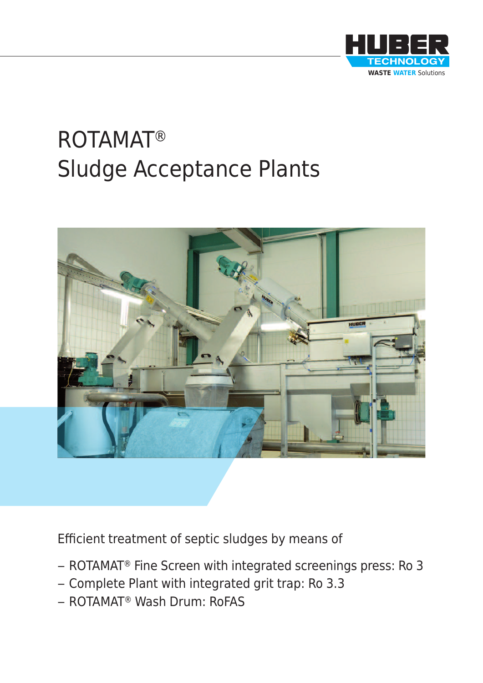

# ROTAMAT® Sludge Acceptance Plants



Efficient treatment of septic sludges by means of

- ROTAMAT® Fine Screen with integrated screenings press: Ro 3
- Complete Plant with integrated grit trap: Ro 3.3
- ROTAMAT® Wash Drum: RoFAS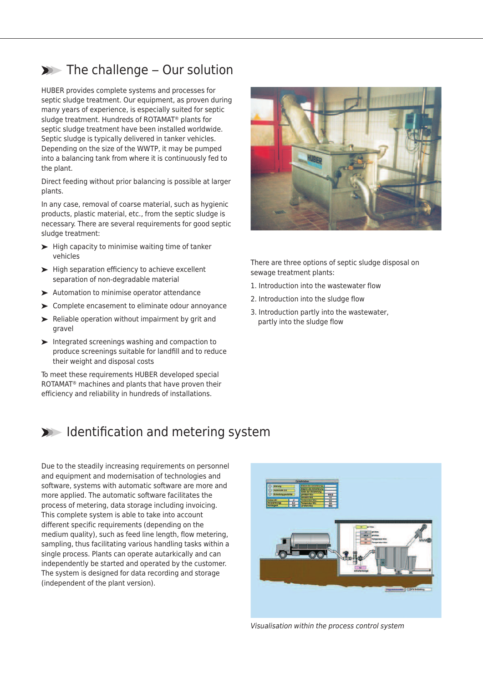### ➤➤➤ The challenge – Our solution

HUBER provides complete systems and processes for septic sludge treatment. Our equipment, as proven during many years of experience, is especially suited for septic sludge treatment. Hundreds of ROTAMAT® plants for septic sludge treatment have been installed worldwide. Septic sludge is typically delivered in tanker vehicles. Depending on the size of the WWTP, it may be pumped into a balancing tank from where it is continuously fed to the plant.

Direct feeding without prior balancing is possible at larger plants.

In any case, removal of coarse material, such as hygienic products, plastic material, etc., from the septic sludge is necessary. There are several requirements for good septic sludge treatment:

- ➤ High capacity to minimise waiting time of tanker vehicles
- ➤ High separation efficiency to achieve excellent separation of non-degradable material
- ➤ Automation to minimise operator attendance
- ➤ Complete encasement to eliminate odour annoyance
- ➤ Reliable operation without impairment by grit and gravel
- ➤ Integrated screenings washing and compaction to produce screenings suitable for landfill and to reduce their weight and disposal costs

To meet these requirements HUBER developed special ROTAMAT® machines and plants that have proven their efficiency and reliability in hundreds of installations.



There are three options of septic sludge disposal on sewage treatment plants:

- 1. Introduction into the wastewater flow
- 2. Introduction into the sludge flow
- 3. Introduction partly into the wastewater, partly into the sludge flow

#### ➤➤➤ Identification and metering system

Due to the steadily increasing requirements on personnel and equipment and modernisation of technologies and software, systems with automatic software are more and more applied. The automatic software facilitates the process of metering, data storage including invoicing. This complete system is able to take into account different specific requirements (depending on the medium quality), such as feed line length, flow metering, sampling, thus facilitating various handling tasks within a single process. Plants can operate autarkically and can independently be started and operated by the customer. The system is designed for data recording and storage (independent of the plant version).



*Visualisation within the process control system*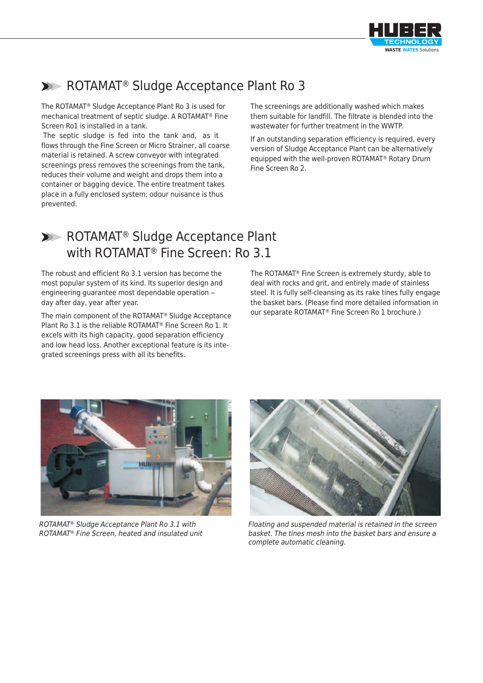

## ➤➤➤ ROTAMAT® Sludge Acceptance Plant Ro 3

The ROTAMAT® Sludge Acceptance Plant Ro 3 is used for mechanical treatment of septic sludge. A ROTAMAT® Fine Screen Ro1 is installed in a tank.

 The septic sludge is fed into the tank and, as it flows through the Fine Screen or Micro Strainer, all coarse material is retained. A screw conveyor with integrated screenings press removes the screenings from the tank, reduces their volume and weight and drops them into a container or bagging device. The entire treatment takes place in a fully enclosed system; odour nuisance is thus prevented.

The screenings are additionally washed which makes them suitable for landfill. The filtrate is blended into the wastewater for further treatment in the WWTP.

If an outstanding separation efficiency is required, every version of Sludge Acceptance Plant can be alternatively equipped with the well-proven ROTAMAT® Rotary Drum Fine Screen Ro 2.

#### ➤➤➤ ROTAMAT® Sludge Acceptance Plant with ROTAMAT® Fine Screen: Ro 3.1

The robust and efficient Ro 3.1 version has become the most popular system of its kind. Its superior design and engineering guarantee most dependable operation – day after day, year after year.

The main component of the ROTAMAT® Sludge Acceptance Plant Ro 3.1 is the reliable ROTAMAT® Fine Screen Ro 1. It excels with its high capacity, good separation efficiency and low head loss. Another exceptional feature is its integrated screenings press with all its benefits.

The ROTAMAT® Fine Screen is extremely sturdy, able to deal with rocks and grit, and entirely made of stainless steel. It is fully self-cleansing as its rake tines fully engage the basket bars. (Please find more detailed information in our separate ROTAMAT® Fine Screen Ro 1 brochure.)



*ROTAMAT® Sludge Acceptance Plant Ro 3.1 with ROTAMAT® Fine Screen, heated and insulated unit*



*Floating and suspended material is retained in the screen basket. The tines mesh into the basket bars and ensure a complete automatic cleaning.*